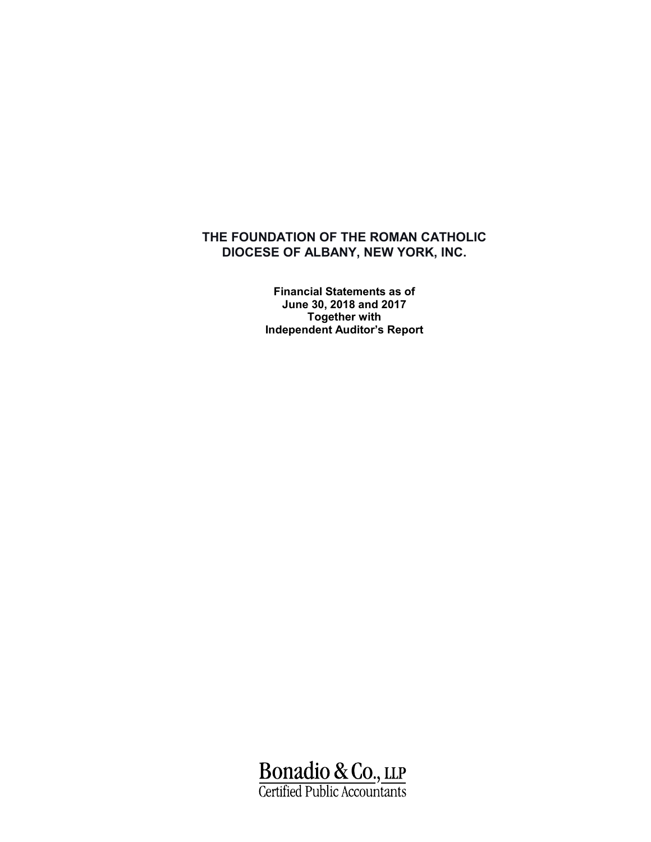# **THE FOUNDATION OF THE ROMAN CATHOLIC DIOCESE OF ALBANY, NEW YORK, INC.**

**Financial Statements as of June 30, 2018 and 2017 Together with Independent Auditor's Report**

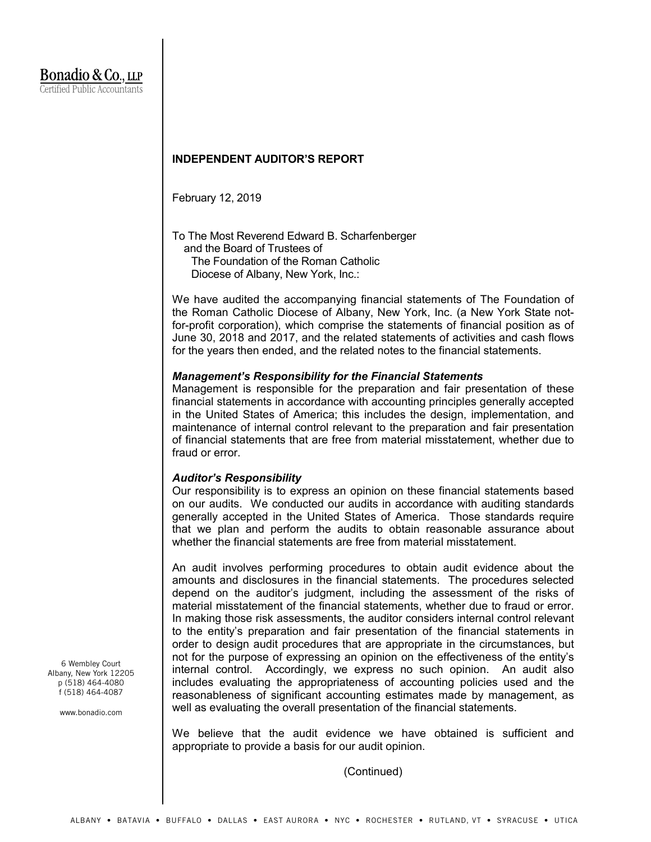## **INDEPENDENT AUDITOR'S REPORT**

February 12, 2019

To The Most Reverend Edward B. Scharfenberger and the Board of Trustees of The Foundation of the Roman Catholic Diocese of Albany, New York, Inc.:

We have audited the accompanying financial statements of The Foundation of the Roman Catholic Diocese of Albany, New York, Inc. (a New York State notfor-profit corporation), which comprise the statements of financial position as of June 30, 2018 and 2017, and the related statements of activities and cash flows for the years then ended, and the related notes to the financial statements.

## *Management's Responsibility for the Financial Statements*

Management is responsible for the preparation and fair presentation of these financial statements in accordance with accounting principles generally accepted in the United States of America; this includes the design, implementation, and maintenance of internal control relevant to the preparation and fair presentation of financial statements that are free from material misstatement, whether due to fraud or error.

## *Auditor's Responsibility*

Our responsibility is to express an opinion on these financial statements based on our audits. We conducted our audits in accordance with auditing standards generally accepted in the United States of America. Those standards require that we plan and perform the audits to obtain reasonable assurance about whether the financial statements are free from material misstatement.

An audit involves performing procedures to obtain audit evidence about the amounts and disclosures in the financial statements. The procedures selected depend on the auditor's judgment, including the assessment of the risks of material misstatement of the financial statements, whether due to fraud or error. In making those risk assessments, the auditor considers internal control relevant to the entity's preparation and fair presentation of the financial statements in order to design audit procedures that are appropriate in the circumstances, but not for the purpose of expressing an opinion on the effectiveness of the entity's internal control. Accordingly, we express no such opinion. An audit also includes evaluating the appropriateness of accounting policies used and the reasonableness of significant accounting estimates made by management, as well as evaluating the overall presentation of the financial statements.

6 Wembley Court Albany, New York 12205 p (518) 464-4080 f (518) 464-4087

www.bonadio.com

We believe that the audit evidence we have obtained is sufficient and appropriate to provide a basis for our audit opinion.

(Continued)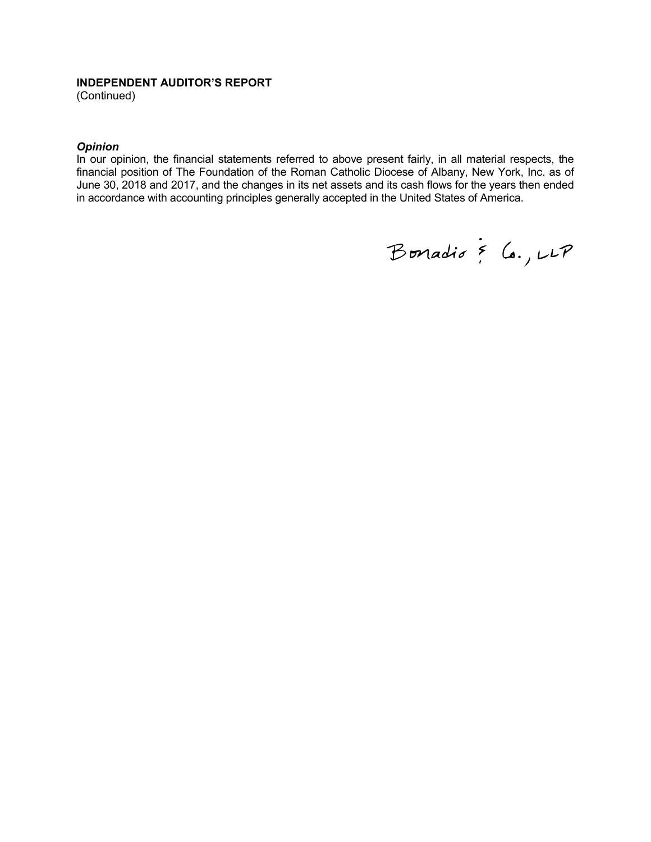### **INDEPENDENT AUDITOR'S REPORT**

(Continued)

## *Opinion*

In our opinion, the financial statements referred to above present fairly, in all material respects, the financial position of The Foundation of the Roman Catholic Diocese of Albany, New York, Inc. as of June 30, 2018 and 2017, and the changes in its net assets and its cash flows for the years then ended in accordance with accounting principles generally accepted in the United States of America.

Bonadio & Co., LLP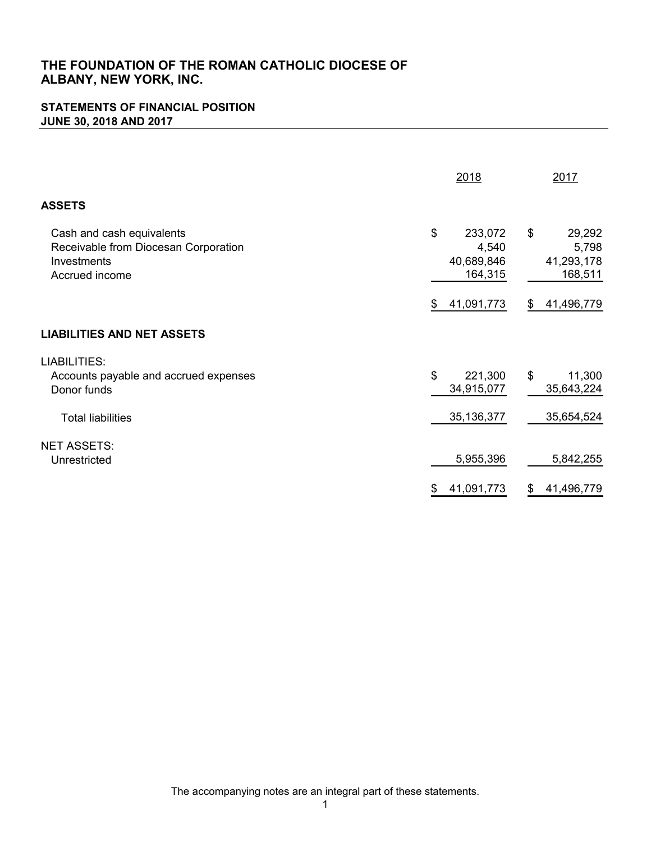# **THE FOUNDATION OF THE ROMAN CATHOLIC DIOCESE OF ALBANY, NEW YORK, INC.**

## **STATEMENTS OF FINANCIAL POSITION JUNE 30, 2018 AND 2017**

|                                                                                                    | 2018                                            | 2017                                           |
|----------------------------------------------------------------------------------------------------|-------------------------------------------------|------------------------------------------------|
| <b>ASSETS</b>                                                                                      |                                                 |                                                |
| Cash and cash equivalents<br>Receivable from Diocesan Corporation<br>Investments<br>Accrued income | \$<br>233,072<br>4,540<br>40,689,846<br>164,315 | \$<br>29,292<br>5,798<br>41,293,178<br>168,511 |
|                                                                                                    | \$<br>41,091,773                                | 41,496,779<br>\$                               |
| <b>LIABILITIES AND NET ASSETS</b>                                                                  |                                                 |                                                |
| LIABILITIES:<br>Accounts payable and accrued expenses<br>Donor funds                               | \$<br>221,300<br>34,915,077                     | \$<br>11,300<br>35,643,224                     |
| <b>Total liabilities</b>                                                                           | 35, 136, 377                                    | 35,654,524                                     |
| <b>NET ASSETS:</b><br>Unrestricted                                                                 | 5,955,396                                       | 5,842,255                                      |
|                                                                                                    | \$<br>41,091,773                                | 41,496,779<br>\$                               |

The accompanying notes are an integral part of these statements.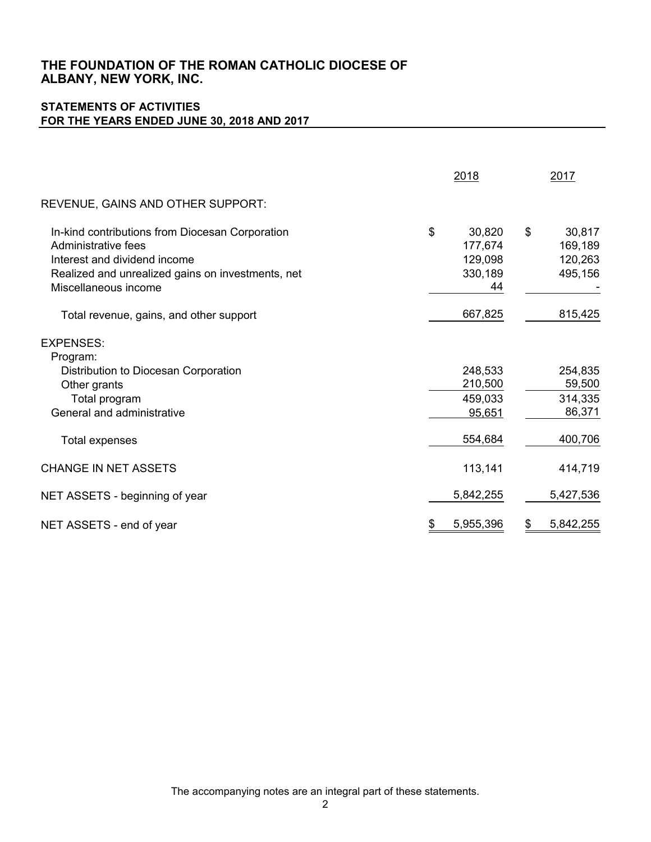# **THE FOUNDATION OF THE ROMAN CATHOLIC DIOCESE OF ALBANY, NEW YORK, INC.**

## **STATEMENTS OF ACTIVITIES FOR THE YEARS ENDED JUNE 30, 2018 AND 2017**

|                                                                                                                                                                                     | 2018                                                | 2017                                          |
|-------------------------------------------------------------------------------------------------------------------------------------------------------------------------------------|-----------------------------------------------------|-----------------------------------------------|
| REVENUE, GAINS AND OTHER SUPPORT:                                                                                                                                                   |                                                     |                                               |
| In-kind contributions from Diocesan Corporation<br>Administrative fees<br>Interest and dividend income<br>Realized and unrealized gains on investments, net<br>Miscellaneous income | \$<br>30,820<br>177,674<br>129,098<br>330,189<br>44 | \$<br>30,817<br>169,189<br>120,263<br>495,156 |
| Total revenue, gains, and other support                                                                                                                                             | 667,825                                             | 815,425                                       |
| <b>EXPENSES:</b><br>Program:<br>Distribution to Diocesan Corporation<br>Other grants<br>Total program<br>General and administrative                                                 | 248,533<br>210,500<br>459,033<br>95,651             | 254,835<br>59,500<br>314,335<br>86,371        |
| Total expenses                                                                                                                                                                      | 554,684                                             | 400,706                                       |
| <b>CHANGE IN NET ASSETS</b>                                                                                                                                                         | 113,141                                             | 414,719                                       |
| NET ASSETS - beginning of year                                                                                                                                                      | 5,842,255                                           | 5,427,536                                     |
| NET ASSETS - end of year                                                                                                                                                            | 5,955,396<br>S                                      | 5,842,255<br>S                                |

The accompanying notes are an integral part of these statements.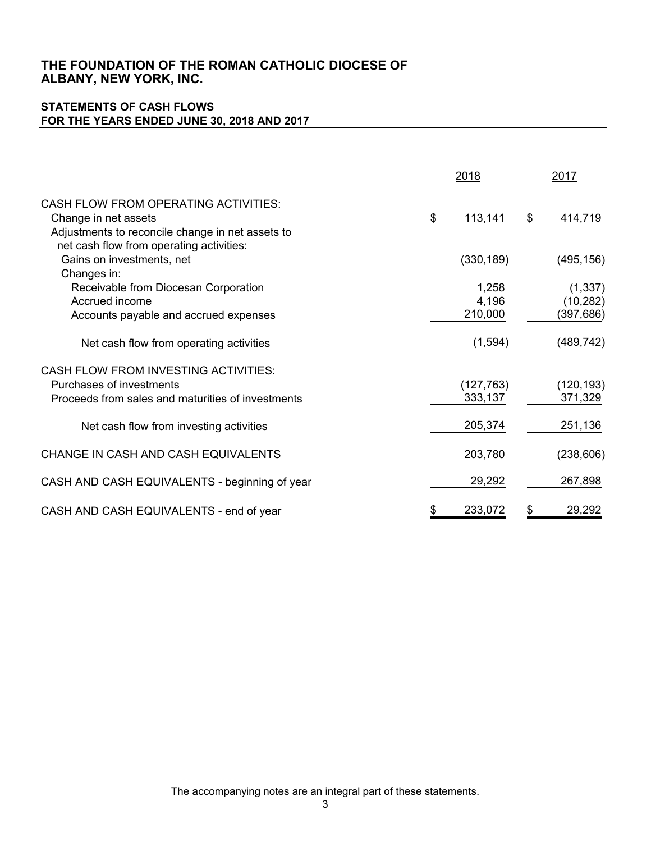# **THE FOUNDATION OF THE ROMAN CATHOLIC DIOCESE OF ALBANY, NEW YORK, INC.**

## **STATEMENTS OF CASH FLOWS FOR THE YEARS ENDED JUNE 30, 2018 AND 2017**

|                                                                                                                              | 2018                      |               | 2017                               |
|------------------------------------------------------------------------------------------------------------------------------|---------------------------|---------------|------------------------------------|
| CASH FLOW FROM OPERATING ACTIVITIES:<br>Change in net assets<br>Adjustments to reconcile change in net assets to             | \$<br>113,141             | $\frac{1}{2}$ | 414,719                            |
| net cash flow from operating activities:<br>Gains on investments, net<br>Changes in:                                         | (330, 189)                |               | (495, 156)                         |
| Receivable from Diocesan Corporation<br>Accrued income<br>Accounts payable and accrued expenses                              | 1,258<br>4,196<br>210,000 |               | (1, 337)<br>(10, 282)<br>(397,686) |
| Net cash flow from operating activities                                                                                      | (1, 594)                  |               | (489,742)                          |
| <b>CASH FLOW FROM INVESTING ACTIVITIES:</b><br>Purchases of investments<br>Proceeds from sales and maturities of investments | (127, 763)<br>333,137     |               | (120, 193)<br>371,329              |
| Net cash flow from investing activities                                                                                      | 205,374                   |               | 251,136                            |
| CHANGE IN CASH AND CASH EQUIVALENTS                                                                                          | 203,780                   |               | (238, 606)                         |
| CASH AND CASH EQUIVALENTS - beginning of year                                                                                | 29,292                    |               | 267,898                            |
| CASH AND CASH EQUIVALENTS - end of year                                                                                      | \$<br>233,072             | \$            | 29,292                             |

The accompanying notes are an integral part of these statements.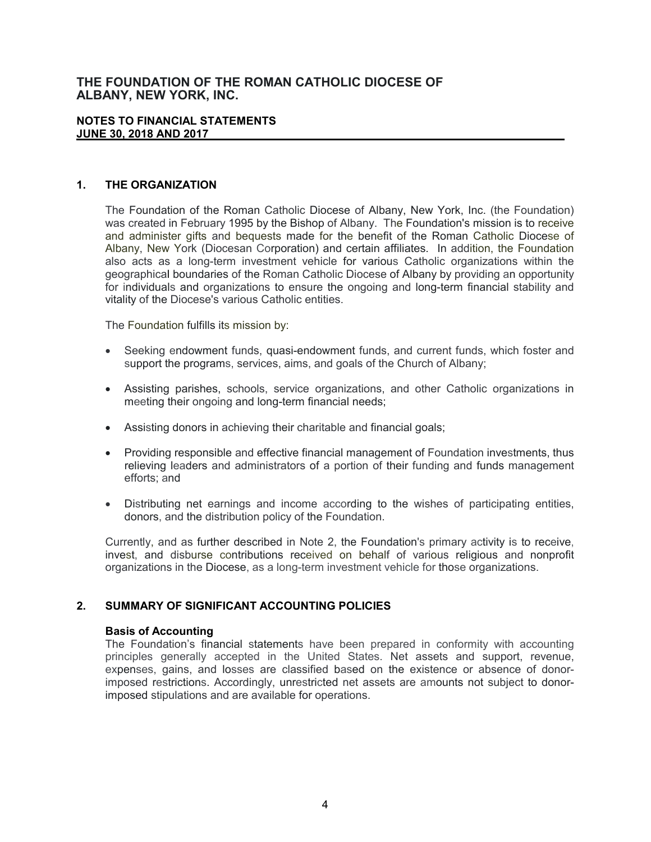## **THE FOUNDATION OF THE ROMAN CATHOLIC DIOCESE OF ALBANY, NEW YORK, INC.**

#### **NOTES TO FINANCIAL STATEMENTS JUNE 30, 2018 AND 2017**

### **1. THE ORGANIZATION**

The Foundation of the Roman Catholic Diocese of Albany, New York, Inc. (the Foundation) was created in February 1995 by the Bishop of Albany. The Foundation's mission is to receive and administer gifts and bequests made for the benefit of the Roman Catholic Diocese of Albany, New York (Diocesan Corporation) and certain affiliates. In addition, the Foundation also acts as a long-term investment vehicle for various Catholic organizations within the geographical boundaries of the Roman Catholic Diocese of Albany by providing an opportunity for individuals and organizations to ensure the ongoing and long-term financial stability and vitality of the Diocese's various Catholic entities.

The Foundation fulfills its mission by:

- Seeking endowment funds, quasi-endowment funds, and current funds, which foster and support the programs, services, aims, and goals of the Church of Albany;
- Assisting parishes, schools, service organizations, and other Catholic organizations in meeting their ongoing and long-term financial needs;
- Assisting donors in achieving their charitable and financial goals;
- Providing responsible and effective financial management of Foundation investments, thus relieving leaders and administrators of a portion of their funding and funds management efforts; and
- Distributing net earnings and income according to the wishes of participating entities, donors, and the distribution policy of the Foundation.

Currently, and as further described in Note 2, the Foundation's primary activity is to receive, invest, and disburse contributions received on behalf of various religious and nonprofit organizations in the Diocese, as a long-term investment vehicle for those organizations.

### **2. SUMMARY OF SIGNIFICANT ACCOUNTING POLICIES**

### **Basis of Accounting**

The Foundation's financial statements have been prepared in conformity with accounting principles generally accepted in the United States. Net assets and support, revenue, expenses, gains, and losses are classified based on the existence or absence of donorimposed restrictions. Accordingly, unrestricted net assets are amounts not subject to donorimposed stipulations and are available for operations.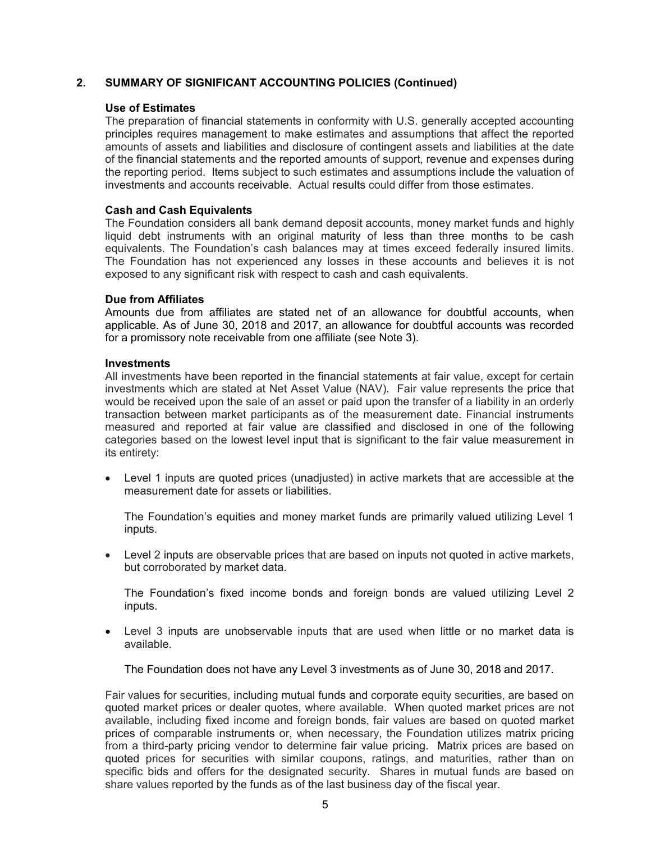### **2. SUMMARY OF SIGNIFICANT ACCOUNTING POLICIES (Continued)**

#### **Use of Estimates**

The preparation of financial statements in conformity with U.S. generally accepted accounting principles requires management to make estimates and assumptions that affect the reported amounts of assets and liabilities and disclosure of contingent assets and liabilities at the date of the financial statements and the reported amounts of support, revenue and expenses during the reporting period. Items subject to such estimates and assumptions include the valuation of investments and accounts receivable. Actual results could differ from those estimates.

#### **Cash and Cash Equivalents**

The Foundation considers all bank demand deposit accounts, money market funds and highly liquid debt instruments with an original maturity of less than three months to be cash equivalents. The Foundation's cash balances may at times exceed federally insured limits. The Foundation has not experienced any losses in these accounts and believes it is not exposed to any significant risk with respect to cash and cash equivalents.

#### **Due from Affiliates**

Amounts due from affiliates are stated net of an allowance for doubtful accounts, when applicable. As of June 30, 2018 and 2017, an allowance for doubtful accounts was recorded for a promissory note receivable from one affiliate (see Note 3).

#### **Investments**

All investments have been reported in the financial statements at fair value, except for certain investments which are stated at Net Asset Value (NAV). Fair value represents the price that would be received upon the sale of an asset or paid upon the transfer of a liability in an orderly transaction between market participants as of the measurement date. Financial instruments measured and reported at fair value are classified and disclosed in one of the following categories based on the lowest level input that is significant to the fair value measurement in its entirety:

• Level 1 inputs are quoted prices (unadjusted) in active markets that are accessible at the measurement date for assets or liabilities.

The Foundation's equities and money market funds are primarily valued utilizing Level 1 inputs.

• Level 2 inputs are observable prices that are based on inputs not quoted in active markets, but corroborated by market data.

The Foundation's fixed income bonds and foreign bonds are valued utilizing Level 2 inputs.

• Level 3 inputs are unobservable inputs that are used when little or no market data is available.

The Foundation does not have any Level 3 investments as of June 30, 2018 and 2017.

Fair values for securities, including mutual funds and corporate equity securities, are based on quoted market prices or dealer quotes, where available. When quoted market prices are not available, including fixed income and foreign bonds, fair values are based on quoted market prices of comparable instruments or, when necessary, the Foundation utilizes matrix pricing from a third-party pricing vendor to determine fair value pricing. Matrix prices are based on quoted prices for securities with similar coupons, ratings, and maturities, rather than on specific bids and offers for the designated security. Shares in mutual funds are based on share values reported by the funds as of the last business day of the fiscal year.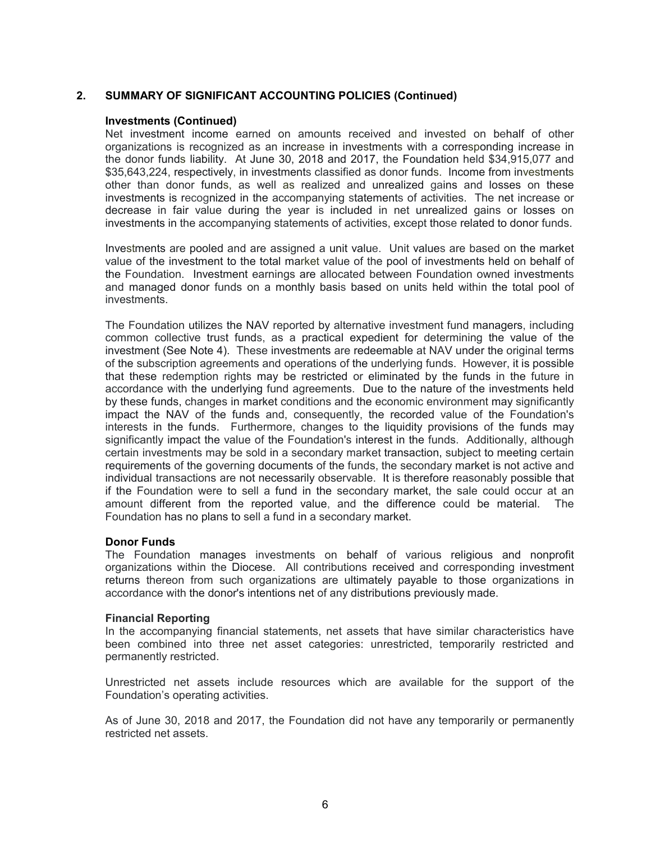### **2. SUMMARY OF SIGNIFICANT ACCOUNTING POLICIES (Continued)**

#### **Investments (Continued)**

Net investment income earned on amounts received and invested on behalf of other organizations is recognized as an increase in investments with a corresponding increase in the donor funds liability. At June 30, 2018 and 2017, the Foundation held \$34,915,077 and \$35,643,224, respectively, in investments classified as donor funds. Income from investments other than donor funds, as well as realized and unrealized gains and losses on these investments is recognized in the accompanying statements of activities. The net increase or decrease in fair value during the year is included in net unrealized gains or losses on investments in the accompanying statements of activities, except those related to donor funds.

Investments are pooled and are assigned a unit value. Unit values are based on the market value of the investment to the total market value of the pool of investments held on behalf of the Foundation. Investment earnings are allocated between Foundation owned investments and managed donor funds on a monthly basis based on units held within the total pool of investments.

The Foundation utilizes the NAV reported by alternative investment fund managers, including common collective trust funds, as a practical expedient for determining the value of the investment (See Note 4). These investments are redeemable at NAV under the original terms of the subscription agreements and operations of the underlying funds. However, it is possible that these redemption rights may be restricted or eliminated by the funds in the future in accordance with the underlying fund agreements. Due to the nature of the investments held by these funds, changes in market conditions and the economic environment may significantly impact the NAV of the funds and, consequently, the recorded value of the Foundation's interests in the funds. Furthermore, changes to the liquidity provisions of the funds may significantly impact the value of the Foundation's interest in the funds. Additionally, although certain investments may be sold in a secondary market transaction, subject to meeting certain requirements of the governing documents of the funds, the secondary market is not active and individual transactions are not necessarily observable. It is therefore reasonably possible that if the Foundation were to sell a fund in the secondary market, the sale could occur at an amount different from the reported value, and the difference could be material. The Foundation has no plans to sell a fund in a secondary market.

#### **Donor Funds**

The Foundation manages investments on behalf of various religious and nonprofit organizations within the Diocese. All contributions received and corresponding investment returns thereon from such organizations are ultimately payable to those organizations in accordance with the donor's intentions net of any distributions previously made.

#### **Financial Reporting**

In the accompanying financial statements, net assets that have similar characteristics have been combined into three net asset categories: unrestricted, temporarily restricted and permanently restricted.

Unrestricted net assets include resources which are available for the support of the Foundation's operating activities.

As of June 30, 2018 and 2017, the Foundation did not have any temporarily or permanently restricted net assets.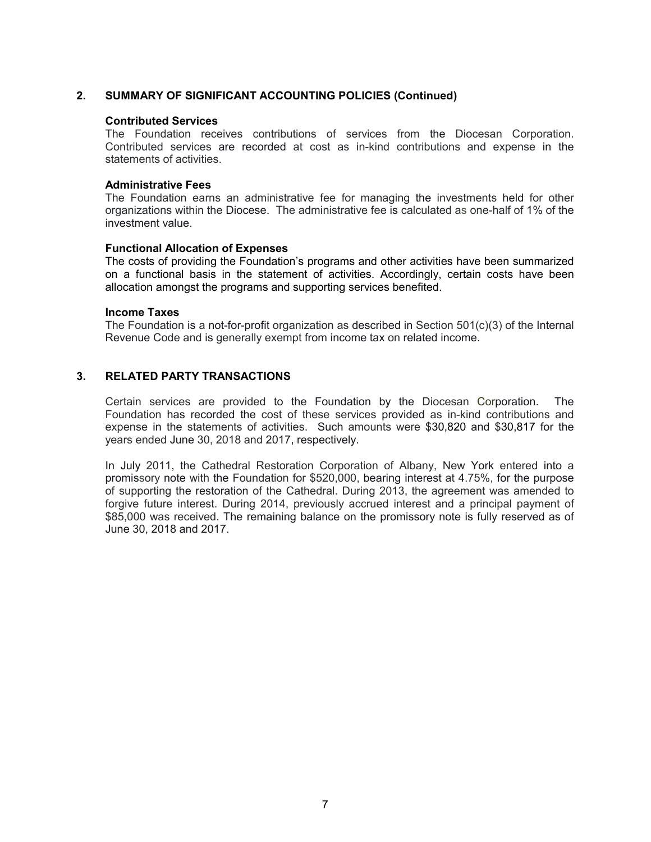### **2. SUMMARY OF SIGNIFICANT ACCOUNTING POLICIES (Continued)**

#### **Contributed Services**

The Foundation receives contributions of services from the Diocesan Corporation. Contributed services are recorded at cost as in-kind contributions and expense in the statements of activities.

#### **Administrative Fees**

The Foundation earns an administrative fee for managing the investments held for other organizations within the Diocese. The administrative fee is calculated as one-half of 1% of the investment value.

#### **Functional Allocation of Expenses**

The costs of providing the Foundation's programs and other activities have been summarized on a functional basis in the statement of activities. Accordingly, certain costs have been allocation amongst the programs and supporting services benefited.

#### **Income Taxes**

The Foundation is a not-for-profit organization as described in Section  $501(c)(3)$  of the Internal Revenue Code and is generally exempt from income tax on related income.

### **3. RELATED PARTY TRANSACTIONS**

Certain services are provided to the Foundation by the Diocesan Corporation. The Foundation has recorded the cost of these services provided as in-kind contributions and expense in the statements of activities. Such amounts were \$30,820 and \$30,817 for the years ended June 30, 2018 and 2017, respectively.

In July 2011, the Cathedral Restoration Corporation of Albany, New York entered into a promissory note with the Foundation for \$520,000, bearing interest at 4.75%, for the purpose of supporting the restoration of the Cathedral. During 2013, the agreement was amended to forgive future interest. During 2014, previously accrued interest and a principal payment of \$85,000 was received. The remaining balance on the promissory note is fully reserved as of June 30, 2018 and 2017.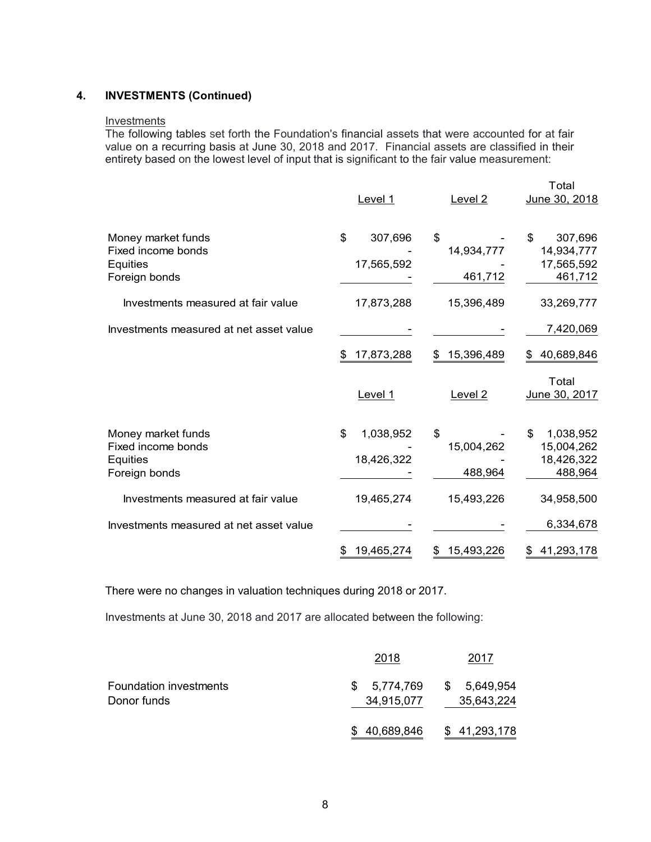## **4. INVESTMENTS (Continued)**

#### **Investments**

The following tables set forth the Foundation's financial assets that were accounted for at fair value on a recurring basis at June 30, 2018 and 2017. Financial assets are classified in their entirety based on the lowest level of input that is significant to the fair value measurement:

|                                                                       |    | Level 1                 | Level 2          |         | Total<br>June 30, 2018                                 |
|-----------------------------------------------------------------------|----|-------------------------|------------------|---------|--------------------------------------------------------|
| Money market funds<br>Fixed income bonds<br>Equities<br>Foreign bonds |    | 307,696<br>17,565,592   | \$<br>14,934,777 | 461,712 | \$<br>307,696<br>14,934,777<br>17,565,592<br>461,712   |
| Investments measured at fair value                                    |    | 17,873,288              | 15,396,489       |         | 33,269,777                                             |
| Investments measured at net asset value                               |    |                         |                  |         | 7,420,069                                              |
|                                                                       |    | 17,873,288              | 15,396,489<br>S  |         | \$<br>40,689,846                                       |
|                                                                       |    | Level 1                 | Level 2          |         | Total<br>June 30, 2017                                 |
| Money market funds<br>Fixed income bonds<br>Equities<br>Foreign bonds | \$ | 1,038,952<br>18,426,322 | \$<br>15,004,262 | 488,964 | \$<br>1,038,952<br>15,004,262<br>18,426,322<br>488,964 |
| Investments measured at fair value                                    |    | 19,465,274              | 15,493,226       |         | 34,958,500                                             |
| Investments measured at net asset value                               |    |                         |                  |         | 6,334,678                                              |
|                                                                       |    | 19,465,274              | 15,493,226<br>\$ |         | 41,293,178                                             |

There were no changes in valuation techniques during 2018 or 2017.

Investments at June 30, 2018 and 2017 are allocated between the following:

|                                              | 2018                    | 2017                          |
|----------------------------------------------|-------------------------|-------------------------------|
| <b>Foundation investments</b><br>Donor funds | 5,774,769<br>34,915,077 | 5,649,954<br>S.<br>35,643,224 |
|                                              | 40,689,846              | 41,293,178                    |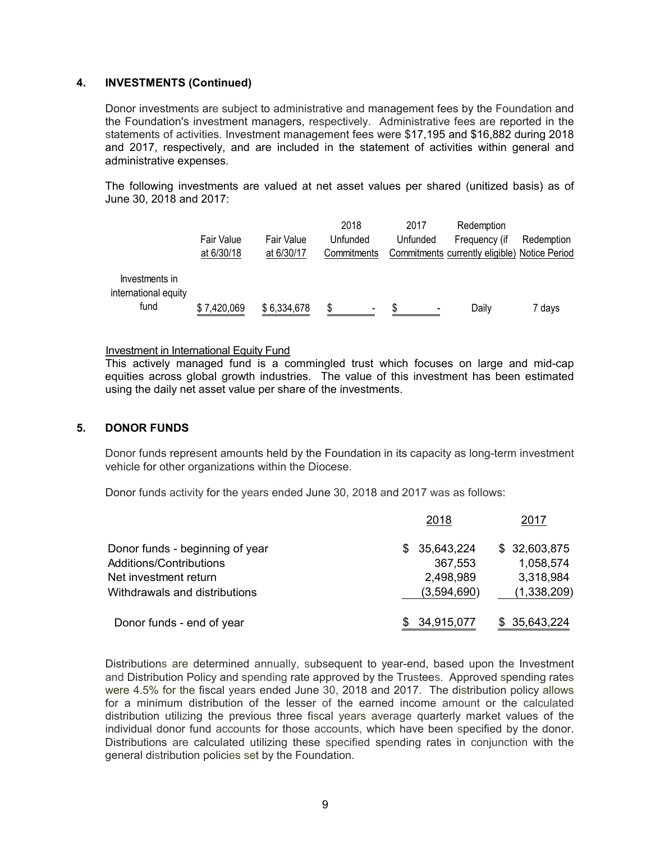#### **4. INVESTMENTS (Continued)**

Donor investments are subject to administrative and management fees by the Foundation and the Foundation's investment managers, respectively. Administrative fees are reported in the statements of activities. Investment management fees were \$17,195 and \$16,882 during 2018 and 2017, respectively, and are included in the statement of activities within general and administrative expenses.

The following investments are valued at net asset values per shared (unitized basis) as of June 30, 2018 and 2017:

|                                                | <b>Fair Value</b><br>at 6/30/18 | Fair Value<br>at 6/30/17 | 2018<br>Unfunded<br>Commitments | 2017<br>Unfunded      | Redemption<br>Frequency (if<br><b>Commitments currently eligible) Notice Period</b> | Redemption |
|------------------------------------------------|---------------------------------|--------------------------|---------------------------------|-----------------------|-------------------------------------------------------------------------------------|------------|
| Investments in<br>international equity<br>fund | \$7,420,069                     | \$6,334,678              | S<br>٠                          | -SS<br>$\blacksquare$ | Daily                                                                               | 7 days     |

#### Investment in International Equity Fund

This actively managed fund is a commingled trust which focuses on large and mid-cap equities across global growth industries. The value of this investment has been estimated using the daily net asset value per share of the investments.

#### **5. DONOR FUNDS**

Donor funds represent amounts held by the Foundation in its capacity as long-term investment vehicle for other organizations within the Diocese.

Donor funds activity for the years ended June 30, 2018 and 2017 was as follows:

|                                 | 2018         | 2017         |
|---------------------------------|--------------|--------------|
| Donor funds - beginning of year | \$35,643,224 | \$32,603,875 |
| <b>Additions/Contributions</b>  | 367,553      | 1,058,574    |
| Net investment return           | 2,498,989    | 3,318,984    |
| Withdrawals and distributions   | (3,594,690)  | (1,338,209)  |
| Donor funds - end of year       | \$34,915,077 | \$35,643,224 |

Distributions are determined annually, subsequent to year-end, based upon the Investment and Distribution Policy and spending rate approved by the Trustees. Approved spending rates were 4.5% for the fiscal years ended June 30, 2018 and 2017. The distribution policy allows for a minimum distribution of the lesser of the earned income amount or the calculated distribution utilizing the previous three fiscal years average quarterly market values of the individual donor fund accounts for those accounts, which have been specified by the donor. Distributions are calculated utilizing these specified spending rates in conjunction with the general distribution policies set by the Foundation.